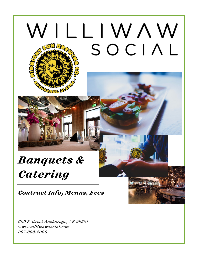# WILLIWAW SOCIAL

# *Banquets & Catering*

*Contract Info, Menus, Fees* 

*609 F Street Anchorage, AK 99501 [www.williwawsocial.com](http://www.williwawsocial.com) 907-868-2000*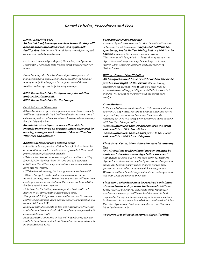#### *Rental Policies, Procedures and Fees*

#### *Rental & Facility Fees*

*All hosted food/beverage services in our facility will have an automatic 22% service and applicable facility fees. Minimums / Rental Rates are subject to peak time prices and blackout dates.* 

*Peak time frames: May – August, December, Fridays and Saturdays. These peak time frames apply unless otherwise noted.*

*Event bookings for The Roof are subject to approval of management and cancellation due to weather by booking manager only. Booking parties may not cancel due to weather unless agreed to by booking manager.*

#### *\$500 Room Rental fee for Speakeasy, Social Hall and/or the Dining Hall. \$300 Room Rental fee for the Lounge*

#### *Outside Food and Beverages*

*All food and beverage catering services must be provided by Williwaw. No outside food is allowed with the exception of cakes and pastries which are allowed with applicable pastry fee. See below for fees.* 

*No outside wine, liquor or beer allowed to be brought in or served on premiss unless approved by booking manager with additional fees outlined in "Bar fees and policies"* 

#### *Additional Fees for food related costs*

*- Outside cake fee: parties of 30 or less - \$25. Parties of 30 or more \$50. No plates or utensils are provided. Host must provide dessert plates and utensils.* 

*- Cakes with three or more tiers require a chef and cutting fee of \$75 for the first three (3) tiers and \$15 per each additional tier. Client may not cut and serve own cake to have this fee waived.*

*- \$150 prime rib carving fee for any menu with Prime Rib. - We are happy to make custom menus outside of our normal Catering menu. Special menu creation will require a meeting with our head chef and there is an additional \$50 fee for a special menu request.* 

*- The base fee for butler passed apps starts at \$150 and applies on all events with butler passed apps.* 

 *Banquets with 100 guests or less will have two (2) servers staffed at a minimum. Each additional server requested will be an additional \$150.* 

*Banquets with 200 guests or less will have three (3) servers staffed at a minimum. Each additional server requested will be an additional \$150.* 

*Banquets with 300 guests or less will have four (4) servers staffed at a minimum. Each additional server requested will be an additional \$150.* 

#### *Food and Beverage Deposits*

*Advance deposits are required at the time of confirmation of booking for all functions. A deposit of \$500 for the Speakeasy, Social Hall or Dining hall or \$300 for the Lounge is required to secure you reservation. This amount will be applied to the total banquet cost the day of the event. Deposits may be made by cash, Visa, Master Card, American Express, and Discover or by Cashier's check.*

#### *Billing / General Credit Policy*

*All banquets must have credit card on file or be paid in full night of the event. Clients having established an account with Williwaw Social may be extended direct billing privileges. A full disclosure of all charges will be sent to the party with the credit card receipt.*

#### *Cancellations*

*In the event of a cancelled function, Williwaw Social must be given 30 day notice. Failure to provide adequate notice may result in your deposit becoming forfeited. The following policies will apply when confirmed event cancels with less then 30 days notice:*

*A cancellation less than 30 days prior to the event will result in a 50% deposit loss. A cancellation less than 14 days prior to the event will result in a 100% loss of deposit.*

#### *Final Guest Count, Menu Selection, special catering fees*

*Any alterations to the original agreement must be made mo later than seven days before the event.* 

*A final head count is due no less than seven (7) business days prior to the event or original guest count charges will apply. The booking party will be charged for the final guarantee or actual attendance whichever is greater. Williwaw will not be held responsible for any changes made less than 72 hours prior to the event.*

*Final menu selections must be received a minimum of seven business days prior to the event. Williwaw Social reserves the right to substitute items for similar products as necessary. Williwaw Social cannot be held responsible for any last minute changes to menu selections. In the event that an event is booked and confirmed with less than five days notice, host must select from our "Limited Menu" selections only.* 

*No carryout is allowed on buffets due to liability.*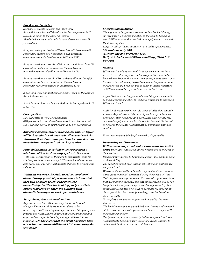#### *Bar fees and policies*

*Bars are available no later than 2:00 AM. Bar will issue a last call for alcoholic beverages one-half (1/2) hour prior to the end of an event. Alcoholic beverages will only be served to guests over 21 years of age.*

*Banquets with guest total of 100 or less will have two (2) bartenders staffed at a minimum. Each additional bartender requested will be an additional \$150.*

*Banquets with guest totals of 200 or less will have three (3) bartenders staffed at a minimum. Each additional bartender requested will be an additional \$150* 

*Banquets with guest total of 300 or less will have four (4) bartenders staffed at a minimum. Each additional bartender requested will be an additional \$150* 

*A beer and wine banquet bar can be provided in the Lounge for a \$100 set up fee.* 

*A full banquet bar can be provided in the Lounge for a \$175 set up fee.* 

#### *Corkage Fees*

*\$20 per bottle of wine or champagne \$75 per sixth barrel of draf beer plus \$1 per beer poured \$150 per half barrel of draf beer plus \$1 per beer poured* 

*Any other circumstances where beer, wine or liquor will be brought in will need to be discussed with the Williwaw Social Bar manager to determine fees. No outside liquor is permitted on the premise.* 

*Final drink menu selections must be received a minimum of five business days prior to the event. Williwaw Social reserves the right to substitute items for similar products as necessary. Williwaw Social cannot be held responsible for any last minute changes to drink menu selections.*

*Williwaw reserves the right to refuse service of alcohol to any guest. If guests be come intoxicated they will be asked to leave the premises immediately. Neither the booking party nor their guests may leave or enter the building with alcoholic beverages or with open containers.* 

#### *Setup times, fees and services fees*

*Any event over four (4) hours may incur additional charges. Extra rental hours requested are to be prearranged with booking manager for scheduling purposes prior to the event. All set up time will be prearranged and approved through the booking manager (Up to 2 hours maximum). In the event that the event has more than a two hour set up an additional \$100 room setup fee will apply.* 

#### *Entertainment/Music*

*The payment of any entertainment talent booked during a private party is the responsiblity of the host to book and pay. Williwaw provides our in-house equipment to use with the following fees.* 

*Stage / Audio / Visual equipment available upon request.* 

*Microphone only \$50 Microphone and projector \$150 Daily A/V tech rate \$200 for a half day, \$400 full day rate* 

#### *Seating*

*Williwaw Social's robust multi-use space means we have several event floor layouts and seating options available inhouse depending on the structure of your private event. Our furniture in each space, is available to use for your setup in the space you are booking. Use of other in-house furniture at Williwaw in other spaces is not available to use.* 

*Any additional seating you might need for your event will be the hosts responsiblity to rent and transport to and from Williwaw Social.* 

*Additional event service rentals are available thru outside sources. Any additional fees are dependent upon final set desired by client and booking party. Any additional seats or outside equipment needed for the hosts event that is not in house is the clients responsiblity to pay in full with the vendor.* 

*Event host responsible for place cards, if applicable.*

#### *Decorating and Damages*

*Williwaw Social provides black linens for the buffet setup only. Any additional linens needed are at the cost of the event host.* 

*Booking party agrees to be responsible for any damage done to the building.* 

*The use of birdseed, rice, glitter, silly string or confetti are not permitted.* 

*Williwaw Social will not be held responsible for any loss or damages to material, premises during the period of time that they are renting the space. It is specifically understood that decorations, signage, and any similar items will not be hung in such a way that may cause damage to walls, doors or structures. Parties who wish to decorate the space may do so, provided they use only masking tape for hanging items on walls.* 

*No staplers or pushpins may be used on walls, doors or structures.* 

*The booking party is responsible for setting up and removal of decorations. Decorating time must be prearranged with the booking manager.* 

*Equipment or personal property lef on the premises is the responsibility booking party, guest or outside vendors to collect and load out at the end of the event.*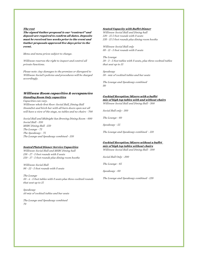#### *The rest*

*The signed Gather proposal is our "contract" and deposit are required to confirm all dates. Deposits must be received two weeks prior to the event and Gather proposals approved five days prior to the event.* 

*Menu and menu prices subject to change.*

*Williwaw reserves the right to inspect and control all private functions.* 

*Please note: Any damages to the premises or disregard to Williwaw Social's policies and procedures will be charged accordingly.* 

#### *Williwaw Room capacities & occupancies Standing Room Only capacities*

*Capacities can vary. Williwaw whole first floor: Social Hall, Dining Hall SteamDot and birch bar with all barn doors open not all will have a view of the stage, no tables and no chairs - 700* 

*Social Hall and Midnight Sun Brewing Dining Room - 600 Social Hall - 350 MSBC Dining Hall -150 The Lounge - 75 The Speakeasy - 75 The Lounge and Speakeasy combined - 150* 

#### *Seated Plated Dinner Service Capacities*

*Williwaw Social Hall and MSBC Dining hall 136 - 17 - 5 foot rounds with 8 seats 150 - 17 - 5 foot rounds plus dining room booths* 

*Williwaw Social Hall 96 - 12 - 5 foot rounds with 8 seats* 

*The Lounge 50 - 4 - 5 foot tables with 8 seats plus three cocktail rounds that seat up to 15* 

*Speakeasy 40 mix of cocktail tables and bar seats* 

*The Lounge and Speakeasy combined 70*

#### *Seated Capacity with Buffet Dinner*

*Williwaw Social Hall and Dining hall 120 - 15 5 foot rounds with 8 seats 138 - 15 5 foot rounds plus dining room booths* 

*Williwaw Social Hall only 88 - 11 - 5 foot rounds with 8 seats* 

*The Lounge 39 - 3 - 5 foot tables with 8 seats, plus three cocktail tables that seat up to 15* 

*Speakeasy 50 - mix of cocktail tables and bar seats* 

*The Lounge and Speakeasy combined 80* 

#### *Cocktail Reception/Mixers with a buffet mix of high top tables with and without chairs*

*Williwaw Social Hall and Dining Hall - 300*

*Social Hall only - 160*

*The Lounge - 60* 

*Speakeasy - 55* 

*The Lounge and Speakeasy combined - 110* 

#### *Cocktail Reception/Mixers without a buffet mix of high top tables without chairs Williwaw Social Hall and Dining Hall - 500*

*Social Hall Only - 200* 

*The Lounge - 65* 

*Speakeasy - 60* 

*The Lounge and Speakeasy combined - 120*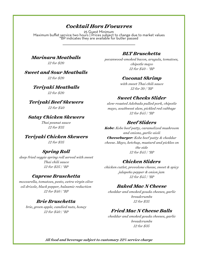# *Cocktail Hors D'oeuvres*

25 Guest Minimum Maximum buffet service two hours | Prices subject to change due to market values \*BP indicates they are available for butler passed

*Marinara Meatballs 12 for \$20* 

*Sweet and Sour Meatballs* 

*12 for \$20* 

*Teriyaki Meatballs 12 for \$20* 

*Teriyaki Beef Skewers 12 for \$40* 

# *Satay Chicken Skewers*

*Thai peanut sauce 12 for \$35* 

*Teriyaki Chicken Skewers 12 for \$35* 

# *Spring Roll*

*deep fried veggie spring roll served with sweet Thai chili sauce 12 for \$25 | \*BP* 

# *Caprese Bruschetta*

*mozzarella, tomatoes, pesto, extra virgin olive oil drizzle, black pepper, balsamic reduction 12 for \$40 | \*BP*

# *Brie Bruschetta*

*brie, green apple, candied nuts, honey 12 for \$40 | \*BP*

# *BLT Bruschetta*

*pecanwood-smoked bacon, arugula, tomatoes, chipotle mayo 12 for \$40 - \*BP*

# *Coconut Shrimp*

*with sweet Thai chili sauce 12 for 30 | \*BP*

# *Sweet Cheeks Slider*

*slow-roasted Adobada pulled pork, chipotle mayo, southwest slaw, pickled red cabbage 12 for \$45 | \*BP*

# *Beef Sliders*

*Kobe: Kobe beef patty, caramelized mushroom and onions, garlic aioli Cheeseburger: Kobe beef patty & cheddar cheese. Mayo, ketchup, mustard and pickles on the side 12 for \$45 | \*BP* 

# *Chicken Sliders*

*chicken cutlet, provolone cheese, sweet & spicy jalapeño pepper & onion jam 12 for \$45 | \*BP* 

# *Baked Mac N Cheese*

*cheddar and smoked gouda cheeses, garlic breadcrumbs 12 for \$35* 

# *Fried Mac N Cheese Balls*

*cheddar and smoked gouda cheeses, garlic breadcrumbs 12 for \$35*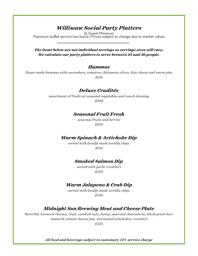# *Williwaw Social Party Platters*

25 Guest Minimum Maximum buffet service two hours | Prices subject to change due to market values

*The items below are not individual servings so servings sizes will vary. We calculate our party platters to serve between 25 and 30 people.* 

#### *Hummus*

*House made hummus with cucumbers, tomatoes, Kalamata olives, feta cheese and warm pita \$150* 

#### *Deluxe Crudités*

*assortment of fresh cut seasonal vegetables and ranch dressing \$200* 

### *Seasonal Fruit Fresh*

*seasonal fruits and berries \$250* 

# *Warm Spinach & Artichoke Dip*

*served with locally made tortilla chips \$150* 

### *Smoked Salmon Dip*

*served with garlic crostini's \$250* 

### *Warm Jalapeno & Crab Dip*

*served with locally made tortilla chips \$350* 

# *Midnight Sun Brewing Meat and Cheese Plate*

*flavorful, textured cheeses, fruit, candied nuts, honey, assorted charcuterie, whole grain beer mustard, tomato-bacon jam, marinated artichokes, crostini's \$350*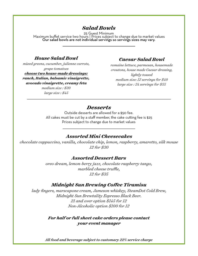# *Salad Bowls*

25 Guest Minimum Maximum buffet service two hours | Prices subject to change due to market values Our salad bowls are not individual servings so servings sizes may vary.

# *House Salad Bowl*

*mixed greens, cucumber, julienne carrots, grape tomatoes choose two house-made dressings: ranch, Italian, balsamic vinaigrette, avocado vinaigrette, creamy feta* 

*medium size : \$30 large size : \$45* 

# *Caesar Salad Bowl*

*romaine lettuce, parmesan, housemade croutons, house made Caesar dressing, lightly tossed medium size: 12 servings for \$40 large size : 24 servings for \$55* 

# *Desserts*

Outside desserts are allowed for a \$50 fee. All cakes must be cut by a staff member, the cake cutting fee is \$25 Prices subject to change due to market values

# *Assorted Mini Cheesecakes*

*chocolate cappuccino, vanilla, chocolate chip, lemon, raspberry, amaretto, silk mouse 12 for \$30* 

#### *Assorted Dessert Bars*

*oreo dream, lemon-berry jazz, chocolate raspberry tango, marbled cheese truffle, 12 for \$35* 

# *Midnight Sun Brewing Coffee Tiramisu*

*lady fingers, marscapone cream, Jameson whiskey, SteamDot Cold Brew, Midnight Sun Brewtality Espresso Black Beer. 21 and over option \$145 for 12 Non-Alcoholic option \$100 for 12* 

> *For half or full sheet cake orders please contact your event manager*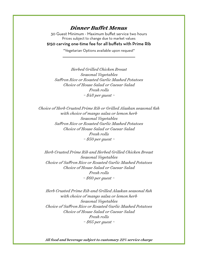# *Dinner Buffet Menus*

30 Guest Minimum - Maximum buffet service two hours Prices subject to change due to market values \$150 carving one-time fee for all buffets with Prime Rib

\*Vegetarian Options available upon request\*

*Herbed Grilled Chicken Breast Seasonal Vegetables Saffron Rice or Roasted Garlic Mashed Potatoes Choice of House Salad or Caesar Salad Fresh rolls ~ \$48 per guest ~* 

*Choice of Herb Crusted Prime Rib or Grilled Alaskan seasonal fish with choice of mango salsa or lemon herb Seasonal Vegetables Saffron Rice or Roasted Garlic Mashed Potatoes Choice of House Salad or Caesar Salad Fresh rolls ~ \$50 per guest ~* 

*Herb Crusted Prime Rib and Herbed Grilled Chicken Breast Seasonal Vegetables Choice of Saffron Rice or Roasted Garlic Mashed Potatoes Choice of House Salad or Caesar Salad Fresh rolls ~ \$60 per guest ~* 

*Herb Crusted Prime Rib and Grilled Alaskan seasonal fish with choice of mango salsa or lemon herb Seasonal Vegetables Choice of Saffron Rice or Roasted Garlic Mashed Potatoes Choice of House Salad or Caesar Salad Fresh rolls ~ \$65 per guest ~*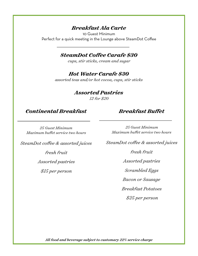# *Breakfast Ala Carte*

10 Guest Minimum Perfect for a quick meeting in the Lounge above SteamDot Coffee

# *SteamDot Coffee Carafe \$30*

*cups, stir sticks, cream and sugar* 

# *Hot Water Carafe \$30*

*assorted teas and/or hot cocoa, cups, stir sticks* 

# *Assorted Pastries*

*12 for \$20*

# *Continental Breakfast*

# *Breakfast Buffet*

*25 Guest Minimum Maximum buffet service two hours* 

*SteamDot coffee & assorted juices* 

*fresh fruit* 

*Assorted pastries* 

*\$15 per person* 

*25 Guest Minimum Maximum buffet service two hours* 

*SteamDot coffee & assorted juices* 

*fresh fruit* 

*Assorted pastries* 

*Scrambled Eggs* 

*Bacon or Sausage* 

*Breakfast Potatoes* 

 *\$25 per person*